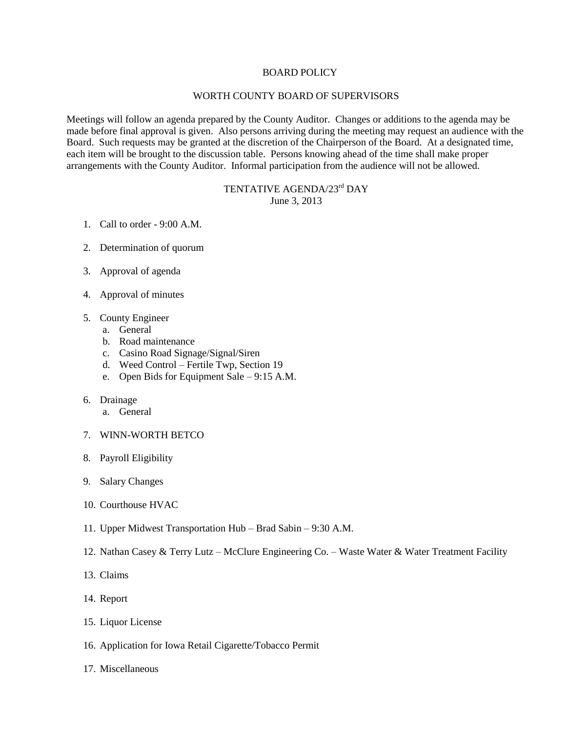## BOARD POLICY

## WORTH COUNTY BOARD OF SUPERVISORS

Meetings will follow an agenda prepared by the County Auditor. Changes or additions to the agenda may be made before final approval is given. Also persons arriving during the meeting may request an audience with the Board. Such requests may be granted at the discretion of the Chairperson of the Board. At a designated time, each item will be brought to the discussion table. Persons knowing ahead of the time shall make proper arrangements with the County Auditor. Informal participation from the audience will not be allowed.

## TENTATIVE AGENDA/23<sup>rd</sup> DAY June 3, 2013

- 1. Call to order 9:00 A.M.
- 2. Determination of quorum
- 3. Approval of agenda
- 4. Approval of minutes
- 5. County Engineer
	- a. General
	- b. Road maintenance
	- c. Casino Road Signage/Signal/Siren
	- d. Weed Control Fertile Twp, Section 19
	- e. Open Bids for Equipment Sale 9:15 A.M.
- 6. Drainage
	- a. General
- 7. WINN-WORTH BETCO
- 8. Payroll Eligibility
- 9. Salary Changes
- 10. Courthouse HVAC
- 11. Upper Midwest Transportation Hub Brad Sabin 9:30 A.M.
- 12. Nathan Casey & Terry Lutz McClure Engineering Co. Waste Water & Water Treatment Facility
- 13. Claims
- 14. Report
- 15. Liquor License
- 16. Application for Iowa Retail Cigarette/Tobacco Permit
- 17. Miscellaneous